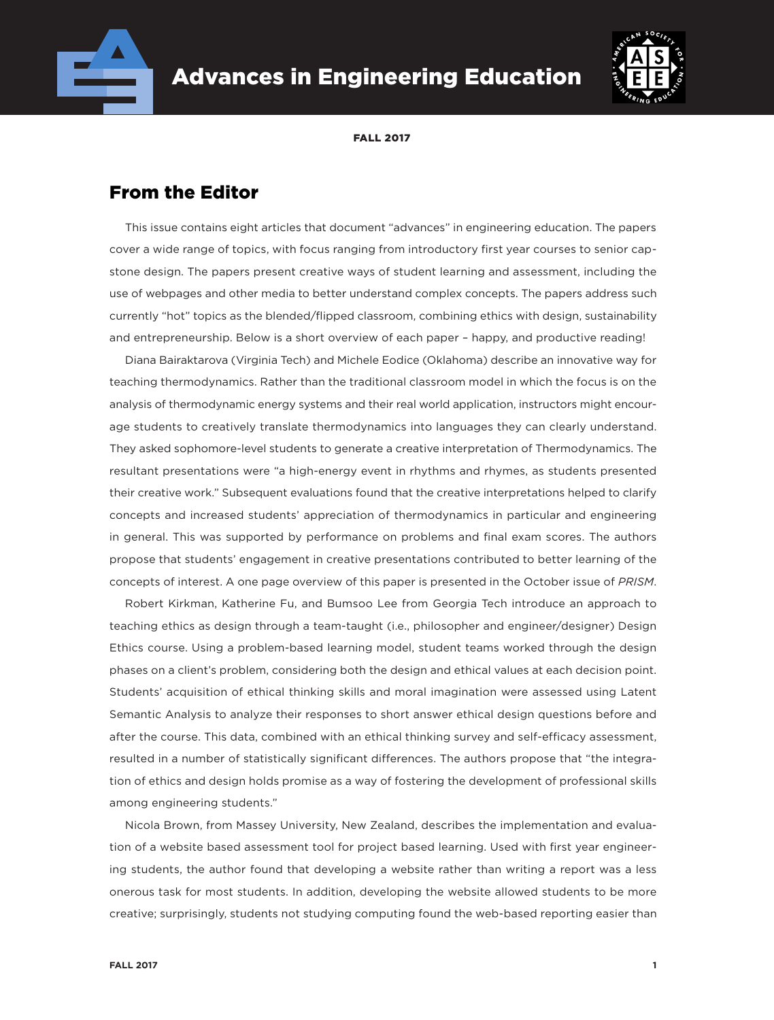



FALL 2017

## From the Editor

This issue contains eight articles that document "advances" in engineering education. The papers cover a wide range of topics, with focus ranging from introductory first year courses to senior capstone design. The papers present creative ways of student learning and assessment, including the use of webpages and other media to better understand complex concepts. The papers address such currently "hot" topics as the blended/flipped classroom, combining ethics with design, sustainability and entrepreneurship. Below is a short overview of each paper – happy, and productive reading!

Diana Bairaktarova (Virginia Tech) and Michele Eodice (Oklahoma) describe an innovative way for teaching thermodynamics. Rather than the traditional classroom model in which the focus is on the analysis of thermodynamic energy systems and their real world application, instructors might encourage students to creatively translate thermodynamics into languages they can clearly understand. They asked sophomore-level students to generate a creative interpretation of Thermodynamics. The resultant presentations were "a high-energy event in rhythms and rhymes, as students presented their creative work." Subsequent evaluations found that the creative interpretations helped to clarify concepts and increased students' appreciation of thermodynamics in particular and engineering in general. This was supported by performance on problems and final exam scores. The authors propose that students' engagement in creative presentations contributed to better learning of the concepts of interest. A one page overview of this paper is presented in the October issue of *PRISM*.

Robert Kirkman, Katherine Fu, and Bumsoo Lee from Georgia Tech introduce an approach to teaching ethics as design through a team-taught (i.e., philosopher and engineer/designer) Design Ethics course. Using a problem-based learning model, student teams worked through the design phases on a client's problem, considering both the design and ethical values at each decision point. Students' acquisition of ethical thinking skills and moral imagination were assessed using Latent Semantic Analysis to analyze their responses to short answer ethical design questions before and after the course. This data, combined with an ethical thinking survey and self-efficacy assessment, resulted in a number of statistically significant differences. The authors propose that "the integration of ethics and design holds promise as a way of fostering the development of professional skills among engineering students."

Nicola Brown, from Massey University, New Zealand, describes the implementation and evaluation of a website based assessment tool for project based learning. Used with first year engineering students, the author found that developing a website rather than writing a report was a less onerous task for most students. In addition, developing the website allowed students to be more creative; surprisingly, students not studying computing found the web-based reporting easier than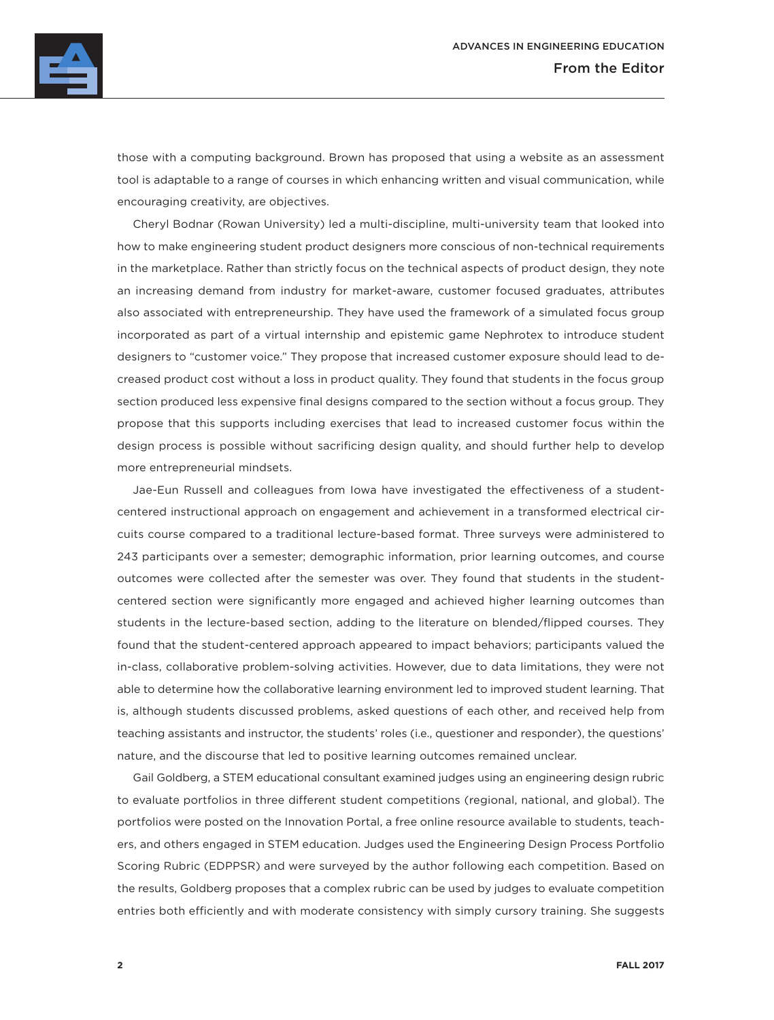

those with a computing background. Brown has proposed that using a website as an assessment tool is adaptable to a range of courses in which enhancing written and visual communication, while encouraging creativity, are objectives.

Cheryl Bodnar (Rowan University) led a multi-discipline, multi-university team that looked into how to make engineering student product designers more conscious of non-technical requirements in the marketplace. Rather than strictly focus on the technical aspects of product design, they note an increasing demand from industry for market-aware, customer focused graduates, attributes also associated with entrepreneurship. They have used the framework of a simulated focus group incorporated as part of a virtual internship and epistemic game Nephrotex to introduce student designers to "customer voice." They propose that increased customer exposure should lead to decreased product cost without a loss in product quality. They found that students in the focus group section produced less expensive final designs compared to the section without a focus group. They propose that this supports including exercises that lead to increased customer focus within the design process is possible without sacrificing design quality, and should further help to develop more entrepreneurial mindsets.

Jae-Eun Russell and colleagues from Iowa have investigated the effectiveness of a studentcentered instructional approach on engagement and achievement in a transformed electrical circuits course compared to a traditional lecture-based format. Three surveys were administered to 243 participants over a semester; demographic information, prior learning outcomes, and course outcomes were collected after the semester was over. They found that students in the studentcentered section were significantly more engaged and achieved higher learning outcomes than students in the lecture-based section, adding to the literature on blended/flipped courses. They found that the student-centered approach appeared to impact behaviors; participants valued the in-class, collaborative problem-solving activities. However, due to data limitations, they were not able to determine how the collaborative learning environment led to improved student learning. That is, although students discussed problems, asked questions of each other, and received help from teaching assistants and instructor, the students' roles (i.e., questioner and responder), the questions' nature, and the discourse that led to positive learning outcomes remained unclear.

Gail Goldberg, a STEM educational consultant examined judges using an engineering design rubric to evaluate portfolios in three different student competitions (regional, national, and global). The portfolios were posted on the Innovation Portal, a free online resource available to students, teachers, and others engaged in STEM education. Judges used the Engineering Design Process Portfolio Scoring Rubric (EDPPSR) and were surveyed by the author following each competition. Based on the results, Goldberg proposes that a complex rubric can be used by judges to evaluate competition entries both efficiently and with moderate consistency with simply cursory training. She suggests